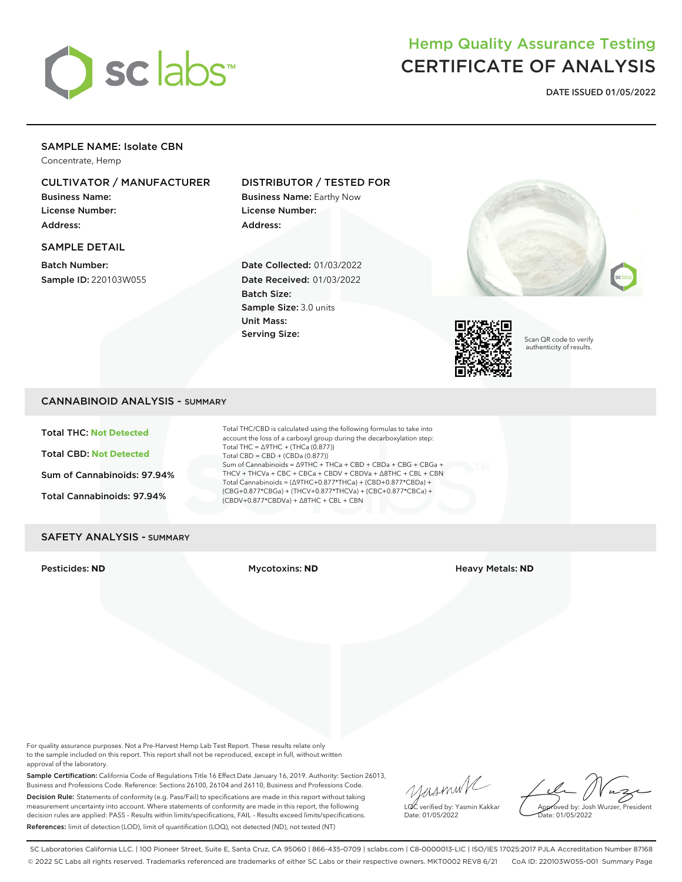

## Hemp Quality Assurance Testing CERTIFICATE OF ANALYSIS

**DATE ISSUED 01/05/2022**

## SAMPLE NAME: Isolate CBN

Concentrate, Hemp

## CULTIVATOR / MANUFACTURER

Business Name: License Number: Address:

## SAMPLE DETAIL

Batch Number: Sample ID: 220103W055

## DISTRIBUTOR / TESTED FOR

Business Name: Earthy Now License Number: Address:

Date Collected: 01/03/2022 Date Received: 01/03/2022 Batch Size: Sample Size: 3.0 units Unit Mass: Serving Size:





Scan QR code to verify authenticity of results.

## CANNABINOID ANALYSIS - SUMMARY

Total THC: **Not Detected** Total CBD: **Not Detected** Sum of Cannabinoids: 97.94% Total Cannabinoids: 97.94%

Total THC/CBD is calculated using the following formulas to take into account the loss of a carboxyl group during the decarboxylation step: Total THC = ∆9THC + (THCa (0.877)) Total CBD = CBD + (CBDa (0.877)) Sum of Cannabinoids = ∆9THC + THCa + CBD + CBDa + CBG + CBGa + THCV + THCVa + CBC + CBCa + CBDV + CBDVa + ∆8THC + CBL + CBN Total Cannabinoids = (∆9THC+0.877\*THCa) + (CBD+0.877\*CBDa) + (CBG+0.877\*CBGa) + (THCV+0.877\*THCVa) + (CBC+0.877\*CBCa) + (CBDV+0.877\*CBDVa) + ∆8THC + CBL + CBN

## SAFETY ANALYSIS - SUMMARY

Pesticides: **ND** Mycotoxins: **ND** Heavy Metals: **ND**

For quality assurance purposes. Not a Pre-Harvest Hemp Lab Test Report. These results relate only to the sample included on this report. This report shall not be reproduced, except in full, without written approval of the laboratory.

Sample Certification: California Code of Regulations Title 16 Effect Date January 16, 2019. Authority: Section 26013, Business and Professions Code. Reference: Sections 26100, 26104 and 26110, Business and Professions Code. Decision Rule: Statements of conformity (e.g. Pass/Fail) to specifications are made in this report without taking measurement uncertainty into account. Where statements of conformity are made in this report, the following decision rules are applied: PASS – Results within limits/specifications, FAIL – Results exceed limits/specifications. References: limit of detection (LOD), limit of quantification (LOQ), not detected (ND), not tested (NT)

yasmin/ LQC verified by: Yasmin Kakkar

Approved by: Josh Wurzer, President ate: 01/05/2022

Date: 01/05/2022

SC Laboratories California LLC. | 100 Pioneer Street, Suite E, Santa Cruz, CA 95060 | 866-435-0709 | sclabs.com | C8-0000013-LIC | ISO/IES 17025:2017 PJLA Accreditation Number 87168 © 2022 SC Labs all rights reserved. Trademarks referenced are trademarks of either SC Labs or their respective owners. MKT0002 REV8 6/21 CoA ID: 220103W055-001 Summary Page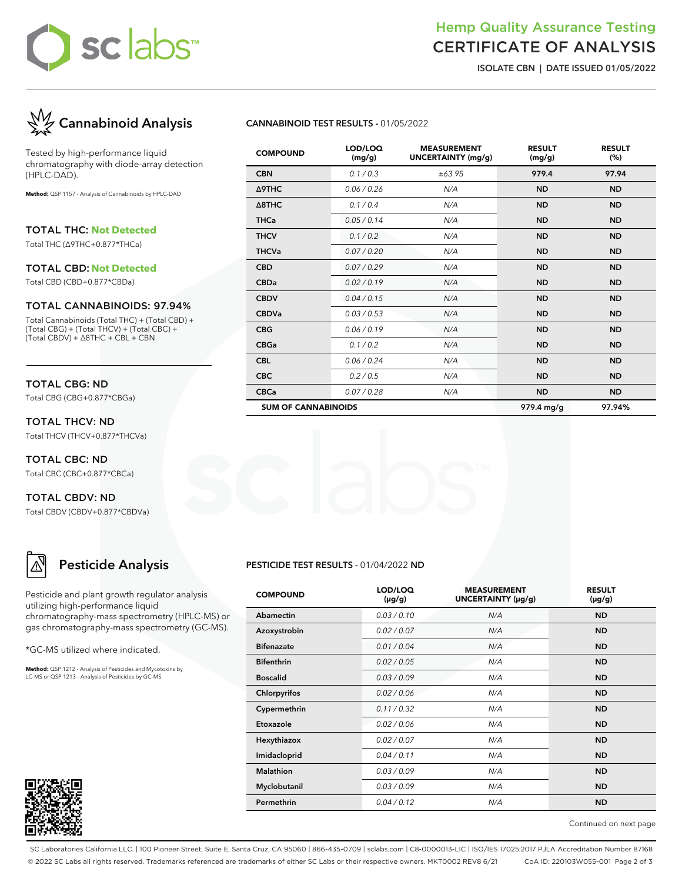# sc labs™

## Hemp Quality Assurance Testing CERTIFICATE OF ANALYSIS

**ISOLATE CBN | DATE ISSUED 01/05/2022**



Tested by high-performance liquid chromatography with diode-array detection (HPLC-DAD).

**Method:** QSP 1157 - Analysis of Cannabinoids by HPLC-DAD

TOTAL THC: **Not Detected**

Total THC (∆9THC+0.877\*THCa)

#### TOTAL CBD: **Not Detected**

Total CBD (CBD+0.877\*CBDa)

#### TOTAL CANNABINOIDS: 97.94%

Total Cannabinoids (Total THC) + (Total CBD) + (Total CBG) + (Total THCV) + (Total CBC) + (Total CBDV) + ∆8THC + CBL + CBN

## TOTAL CBG: ND

Total CBG (CBG+0.877\*CBGa)

TOTAL THCV: ND Total THCV (THCV+0.877\*THCVa)

TOTAL CBC: ND Total CBC (CBC+0.877\*CBCa)

TOTAL CBDV: ND Total CBDV (CBDV+0.877\*CBDVa)

## **Pesticide Analysis**

Pesticide and plant growth regulator analysis utilizing high-performance liquid chromatography-mass spectrometry (HPLC-MS) or gas chromatography-mass spectrometry (GC-MS).

\*GC-MS utilized where indicated.

**Method:** QSP 1212 - Analysis of Pesticides and Mycotoxins by LC-MS or QSP 1213 - Analysis of Pesticides by GC-MS



#### **CANNABINOID TEST RESULTS -** 01/05/2022

| <b>COMPOUND</b>            | LOD/LOQ<br>(mg/g) | <b>MEASUREMENT</b><br><b>UNCERTAINTY (mg/g)</b> | <b>RESULT</b><br>(mg/g) | <b>RESULT</b><br>(%) |
|----------------------------|-------------------|-------------------------------------------------|-------------------------|----------------------|
| <b>CBN</b>                 | 0.1 / 0.3         | ±63.95                                          | 979.4                   | 97.94                |
| <b>A9THC</b>               | 0.06 / 0.26       | N/A                                             | <b>ND</b>               | <b>ND</b>            |
| $\triangle$ 8THC           | 0.1 / 0.4         | N/A                                             | <b>ND</b>               | <b>ND</b>            |
| <b>THCa</b>                | 0.05/0.14         | N/A                                             | <b>ND</b>               | <b>ND</b>            |
| <b>THCV</b>                | 0.1/0.2           | N/A                                             | <b>ND</b>               | <b>ND</b>            |
| <b>THCVa</b>               | 0.07 / 0.20       | N/A                                             | <b>ND</b>               | <b>ND</b>            |
| <b>CBD</b>                 | 0.07 / 0.29       | N/A                                             | <b>ND</b>               | <b>ND</b>            |
| <b>CBDa</b>                | 0.02 / 0.19       | N/A                                             | <b>ND</b>               | <b>ND</b>            |
| <b>CBDV</b>                | 0.04 / 0.15       | N/A                                             | <b>ND</b>               | <b>ND</b>            |
| <b>CBDVa</b>               | 0.03 / 0.53       | N/A                                             | <b>ND</b>               | <b>ND</b>            |
| <b>CBG</b>                 | 0.06 / 0.19       | N/A                                             | <b>ND</b>               | <b>ND</b>            |
| <b>CBGa</b>                | 0.1 / 0.2         | N/A                                             | <b>ND</b>               | <b>ND</b>            |
| <b>CBL</b>                 | 0.06 / 0.24       | N/A                                             | <b>ND</b>               | <b>ND</b>            |
| <b>CBC</b>                 | 0.2 / 0.5         | N/A                                             | <b>ND</b>               | <b>ND</b>            |
| <b>CBCa</b>                | 0.07 / 0.28       | N/A                                             | <b>ND</b>               | <b>ND</b>            |
| <b>SUM OF CANNABINOIDS</b> |                   |                                                 | 979.4 mg/g              | 97.94%               |

#### **PESTICIDE TEST RESULTS -** 01/04/2022 **ND**

| <b>COMPOUND</b>   | LOD/LOQ<br>$(\mu g/g)$ | <b>MEASUREMENT</b><br>UNCERTAINTY (µg/g) | <b>RESULT</b><br>(µg/g) |
|-------------------|------------------------|------------------------------------------|-------------------------|
| Abamectin         | 0.03/0.10              | N/A                                      | <b>ND</b>               |
| Azoxystrobin      | 0.02 / 0.07            | N/A                                      | <b>ND</b>               |
| <b>Bifenazate</b> | 0.01 / 0.04            | N/A                                      | <b>ND</b>               |
| <b>Bifenthrin</b> | 0.02 / 0.05            | N/A                                      | <b>ND</b>               |
| <b>Boscalid</b>   | 0.03/0.09              | N/A                                      | <b>ND</b>               |
| Chlorpyrifos      | 0.02 / 0.06            | N/A                                      | <b>ND</b>               |
| Cypermethrin      | 0.11/0.32              | N/A                                      | <b>ND</b>               |
| Etoxazole         | 0.02 / 0.06            | N/A                                      | <b>ND</b>               |
| Hexythiazox       | 0.02 / 0.07            | N/A                                      | <b>ND</b>               |
| Imidacloprid      | 0.04 / 0.11            | N/A                                      | <b>ND</b>               |
| Malathion         | 0.03/0.09              | N/A                                      | <b>ND</b>               |
| Myclobutanil      | 0.03/0.09              | N/A                                      | <b>ND</b>               |
| Permethrin        | 0.04 / 0.12            | N/A                                      | <b>ND</b>               |

Continued on next page

SC Laboratories California LLC. | 100 Pioneer Street, Suite E, Santa Cruz, CA 95060 | 866-435-0709 | sclabs.com | C8-0000013-LIC | ISO/IES 17025:2017 PJLA Accreditation Number 87168 © 2022 SC Labs all rights reserved. Trademarks referenced are trademarks of either SC Labs or their respective owners. MKT0002 REV8 6/21 CoA ID: 220103W055-001 Page 2 of 3